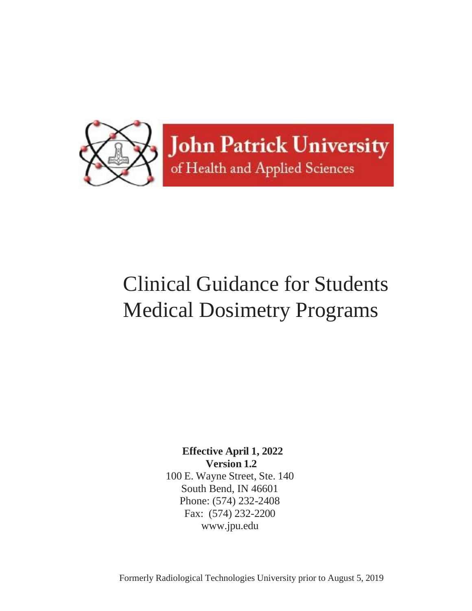

## Clinical Guidance for Students Medical Dosimetry Programs

**Effective April 1, 2022 Version 1.2** 100 E. Wayne Street, Ste. 140 South Bend, IN 46601 Phone: (574) 232-2408 Fax: (574) 232-2200 [www.jpu.edu](http://www.jpu.edu/)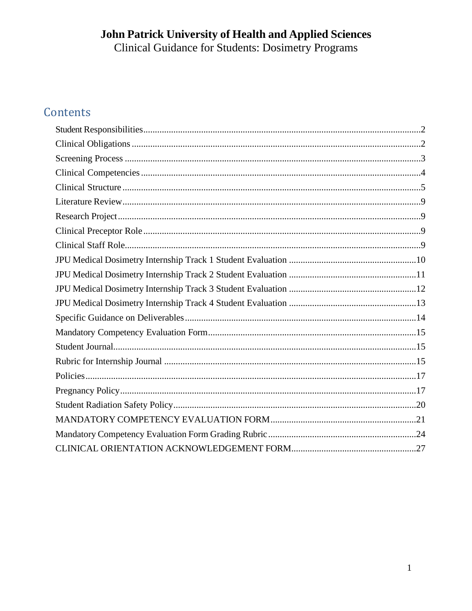# **John Patrick University of Health and Applied Sciences**<br>Clinical Guidance for Students: Dosimetry Programs

## Contents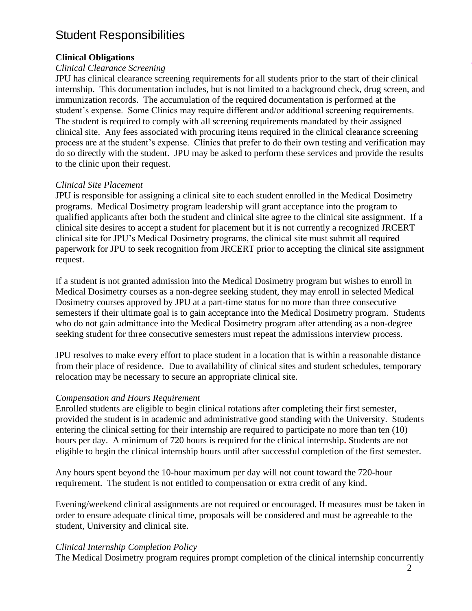## <span id="page-2-0"></span>Student Responsibilities

#### <span id="page-2-1"></span>**Clinical Obligations**

#### *Clinical Clearance Screening*

JPU has clinical clearance screening requirements for all students prior to the start of their clinical internship. This documentation includes, but is not limited to a background check, drug screen, and immunization records. The accumulation of the required documentation is performed at the student's expense. Some Clinics may require different and/or additional screening requirements. The student is required to comply with all screening requirements mandated by their assigned clinical site. Any fees associated with procuring items required in the clinical clearance screening process are at the student's expense. Clinics that prefer to do their own testing and verification may do so directly with the student. JPU may be asked to perform these services and provide the results to the clinic upon their request.

#### *Clinical Site Placement*

JPU is responsible for assigning a clinical site to each student enrolled in the Medical Dosimetry programs. Medical Dosimetry program leadership will grant acceptance into the program to qualified applicants after both the student and clinical site agree to the clinical site assignment. If a clinical site desires to accept a student for placement but it is not currently a recognized JRCERT clinical site for JPU's Medical Dosimetry programs, the clinical site must submit all required paperwork for JPU to seek recognition from JRCERT prior to accepting the clinical site assignment request.

If a student is not granted admission into the Medical Dosimetry program but wishes to enroll in Medical Dosimetry courses as a non-degree seeking student, they may enroll in selected Medical Dosimetry courses approved by JPU at a part-time status for no more than three consecutive semesters if their ultimate goal is to gain acceptance into the Medical Dosimetry program. Students who do not gain admittance into the Medical Dosimetry program after attending as a non-degree seeking student for three consecutive semesters must repeat the admissions interview process.

JPU resolves to make every effort to place student in a location that is within a reasonable distance from their place of residence. Due to availability of clinical sites and student schedules, temporary relocation may be necessary to secure an appropriate clinical site.

#### *Compensation and Hours Requirement*

Enrolled students are eligible to begin clinical rotations after completing their first semester, provided the student is in academic and administrative good standing with the University. Students entering the clinical setting for their internship are required to participate no more than ten (10) hours per day. A minimum of 720 hours is required for the clinical internship**.** Students are not eligible to begin the clinical internship hours until after successful completion of the first semester.

Any hours spent beyond the 10-hour maximum per day will not count toward the 720-hour requirement. The student is not entitled to compensation or extra credit of any kind.

Evening/weekend clinical assignments are not required or encouraged. If measures must be taken in order to ensure adequate clinical time, proposals will be considered and must be agreeable to the student, University and clinical site.

#### *Clinical Internship Completion Policy*

The Medical Dosimetry program requires prompt completion of the clinical internship concurrently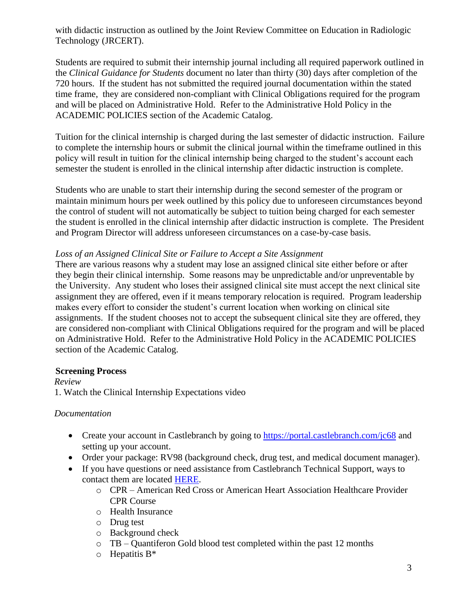with didactic instruction as outlined by the Joint Review Committee on Education in Radiologic Technology (JRCERT).

Students are required to submit their internship journal including all required paperwork outlined in the *Clinical Guidance for Students* document no later than thirty (30) days after completion of the 720 hours. If the student has not submitted the required journal documentation within the stated time frame, they are considered non-compliant with Clinical Obligations required for the program and will be placed on Administrative Hold. Refer to the Administrative Hold Policy in the ACADEMIC POLICIES section of the Academic Catalog.

Tuition for the clinical internship is charged during the last semester of didactic instruction. Failure to complete the internship hours or submit the clinical journal within the timeframe outlined in this policy will result in tuition for the clinical internship being charged to the student's account each semester the student is enrolled in the clinical internship after didactic instruction is complete.

Students who are unable to start their internship during the second semester of the program or maintain minimum hours per week outlined by this policy due to unforeseen circumstances beyond the control of student will not automatically be subject to tuition being charged for each semester the student is enrolled in the clinical internship after didactic instruction is complete. The President and Program Director will address unforeseen circumstances on a case-by-case basis.

#### *Loss of an Assigned Clinical Site or Failure to Accept a Site Assignment*

There are various reasons why a student may lose an assigned clinical site either before or after they begin their clinical internship. Some reasons may be unpredictable and/or unpreventable by the University. Any student who loses their assigned clinical site must accept the next clinical site assignment they are offered, even if it means temporary relocation is required. Program leadership makes every effort to consider the student's current location when working on clinical site assignments. If the student chooses not to accept the subsequent clinical site they are offered, they are considered non-compliant with Clinical Obligations required for the program and will be placed on Administrative Hold. Refer to the Administrative Hold Policy in the ACADEMIC POLICIES section of the Academic Catalog.

#### <span id="page-3-0"></span>**Screening Process**

*Review* 1. Watch the Clinical Internship Expectations video

#### *Documentation*

- Create your account in Castlebranch by going to<https://portal.castlebranch.com/jc68> and setting up your account.
- Order your package: RV98 (background check, drug test, and medical document manager).
- If you have questions or need assistance from Castlebranch Technical Support, ways to contact them are located [HERE.](https://app.sycamorecampus.com/public_documents.php?id=1074&docid=131421)
	- o CPR American Red Cross or American Heart Association Healthcare Provider CPR Course
	- o Health Insurance
	- o Drug test
	- o Background check
	- o TB Quantiferon Gold blood test completed within the past 12 months
	- $\circ$  Hepatitis B<sup>\*</sup>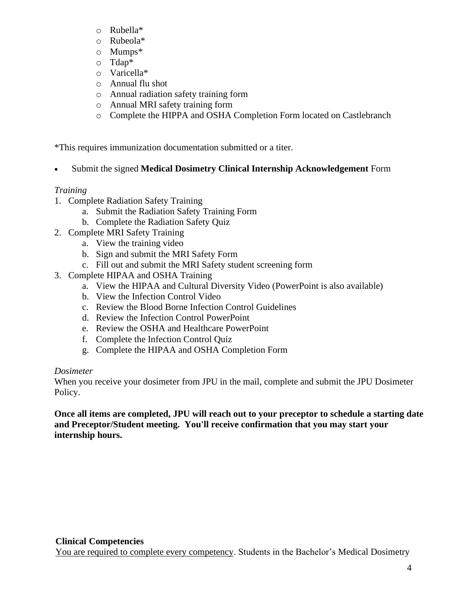- o Rubella\*
- o Rubeola\*
- o Mumps\*
- o Tdap\*
- o Varicella\*
- o Annual flu shot
- o Annual radiation safety training form
- o Annual MRI safety training form
- o Complete the HIPPA and OSHA Completion Form located on Castlebranch

\*This requires immunization documentation submitted or a titer.

• Submit the signed **Medical Dosimetry Clinical Internship Acknowledgement** Form

#### *Training*

- 1. Complete Radiation Safety Training
	- a. Submit the Radiation Safety Training Form
	- b. Complete the Radiation Safety Quiz
- 2. Complete MRI Safety Training
	- a. View the training video
	- b. Sign and submit the MRI Safety Form
	- c. Fill out and submit the MRI Safety student screening form
- 3. Complete HIPAA and OSHA Training
	- a. View the HIPAA and Cultural Diversity Video (PowerPoint is also available)
	- b. View the Infection Control Video
	- c. Review the Blood Borne Infection Control Guidelines
	- d. Review the Infection Control PowerPoint
	- e. Review the OSHA and Healthcare PowerPoint
	- f. Complete the Infection Control Quiz
	- g. Complete the HIPAA and OSHA Completion Form

#### *Dosimeter*

When you receive your dosimeter from JPU in the mail, complete and submit the JPU Dosimeter Policy.

**Once all items are completed, JPU will reach out to your preceptor to schedule a starting date and Preceptor/Student meeting. You'll receive confirmation that you may start your internship hours.**

<span id="page-4-0"></span>You are required to complete every competency. Students in the Bachelor's Medical Dosimetry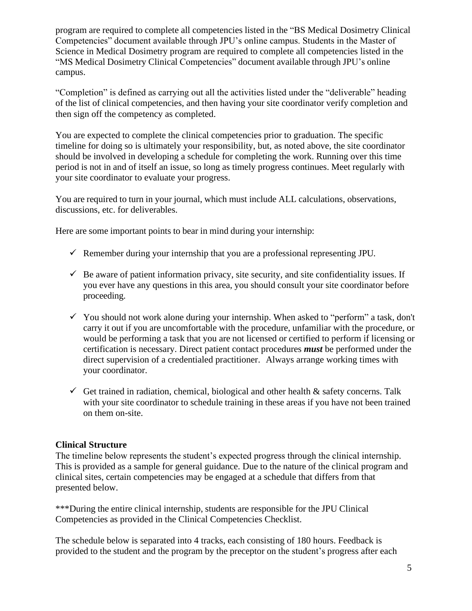program are required to complete all competencies listed in the "BS Medical Dosimetry Clinical Competencies" document available through JPU's online campus. Students in the Master of Science in Medical Dosimetry program are required to complete all competencies listed in the "MS Medical Dosimetry Clinical Competencies" document available through JPU's online campus.

"Completion" is defined as carrying out all the activities listed under the "deliverable" heading of the list of clinical competencies, and then having your site coordinator verify completion and then sign off the competency as completed.

You are expected to complete the clinical competencies prior to graduation. The specific timeline for doing so is ultimately your responsibility, but, as noted above, the site coordinator should be involved in developing a schedule for completing the work. Running over this time period is not in and of itself an issue, so long as timely progress continues. Meet regularly with your site coordinator to evaluate your progress.

You are required to turn in your journal, which must include ALL calculations, observations, discussions, etc. for deliverables.

Here are some important points to bear in mind during your internship:

- $\checkmark$  Remember during your internship that you are a professional representing JPU.
- $\checkmark$  Be aware of patient information privacy, site security, and site confidentiality issues. If you ever have any questions in this area, you should consult your site coordinator before proceeding.
- $\checkmark$  You should not work alone during your internship. When asked to "perform" a task, don't carry it out if you are uncomfortable with the procedure, unfamiliar with the procedure, or would be performing a task that you are not licensed or certified to perform if licensing or certification is necessary. Direct patient contact procedures *must* be performed under the direct supervision of a credentialed practitioner. Always arrange working times with your coordinator.
- $\checkmark$  Get trained in radiation, chemical, biological and other health  $\&$  safety concerns. Talk with your site coordinator to schedule training in these areas if you have not been trained on them on-site.

#### <span id="page-5-0"></span>**Clinical Structure**

The timeline below represents the student's expected progress through the clinical internship. This is provided as a sample for general guidance. Due to the nature of the clinical program and clinical sites, certain competencies may be engaged at a schedule that differs from that presented below.

\*\*\*During the entire clinical internship, students are responsible for the JPU Clinical Competencies as provided in the Clinical Competencies Checklist.

The schedule below is separated into 4 tracks, each consisting of 180 hours. Feedback is provided to the student and the program by the preceptor on the student's progress after each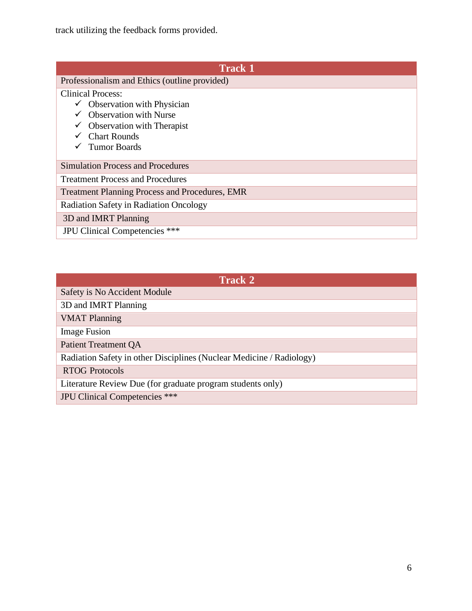track utilizing the feedback forms provided.

| <b>Track 1</b>                                        |
|-------------------------------------------------------|
| Professionalism and Ethics (outline provided)         |
| <b>Clinical Process:</b>                              |
| $\checkmark$ Observation with Physician               |
| <b>Observation with Nurse</b>                         |
| $\checkmark$ Observation with Therapist               |
| $\checkmark$ Chart Rounds                             |
| <b>Tumor Boards</b>                                   |
| <b>Simulation Process and Procedures</b>              |
| <b>Treatment Process and Procedures</b>               |
| <b>Treatment Planning Process and Procedures, EMR</b> |
| Radiation Safety in Radiation Oncology                |
| 3D and IMRT Planning                                  |
| JPU Clinical Competencies ***                         |

| <b>Track 2</b>                                                       |
|----------------------------------------------------------------------|
| Safety is No Accident Module                                         |
| 3D and IMRT Planning                                                 |
| <b>VMAT Planning</b>                                                 |
| <b>Image Fusion</b>                                                  |
| <b>Patient Treatment QA</b>                                          |
| Radiation Safety in other Disciplines (Nuclear Medicine / Radiology) |
| <b>RTOG Protocols</b>                                                |
| Literature Review Due (for graduate program students only)           |
| <b>JPU Clinical Competencies</b> ***                                 |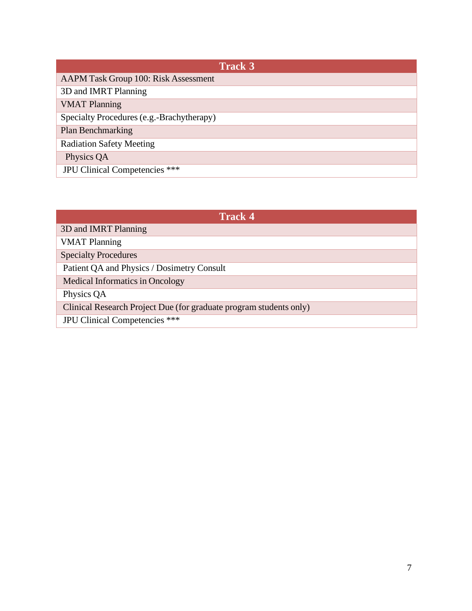| <b>Track 3</b>                              |
|---------------------------------------------|
| <b>AAPM Task Group 100: Risk Assessment</b> |
| 3D and IMRT Planning                        |
| <b>VMAT Planning</b>                        |
| Specialty Procedures (e.g.-Brachytherapy)   |
| Plan Benchmarking                           |
| <b>Radiation Safety Meeting</b>             |
| Physics QA                                  |
| JPU Clinical Competencies ***               |

| <b>Track 4</b>                                                     |  |
|--------------------------------------------------------------------|--|
| 3D and IMRT Planning                                               |  |
| <b>VMAT Planning</b>                                               |  |
| <b>Specialty Procedures</b>                                        |  |
| Patient QA and Physics / Dosimetry Consult                         |  |
| <b>Medical Informatics in Oncology</b>                             |  |
| Physics QA                                                         |  |
| Clinical Research Project Due (for graduate program students only) |  |
| JPU Clinical Competencies ***                                      |  |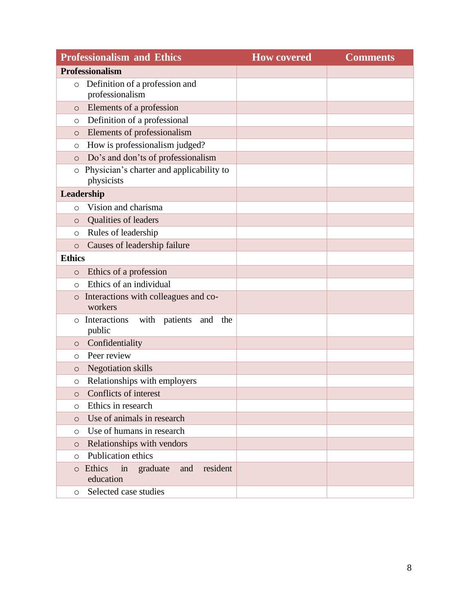| <b>Professionalism and Ethics</b>                                          | <b>How covered</b> | <b>Comments</b> |  |
|----------------------------------------------------------------------------|--------------------|-----------------|--|
| <b>Professionalism</b>                                                     |                    |                 |  |
| Definition of a profession and<br>$\circ$<br>professionalism               |                    |                 |  |
| Elements of a profession<br>$\circ$                                        |                    |                 |  |
| Definition of a professional<br>$\circ$                                    |                    |                 |  |
| Elements of professionalism<br>$\circ$                                     |                    |                 |  |
| How is professionalism judged?<br>$\circ$                                  |                    |                 |  |
| Do's and don'ts of professionalism<br>$\circ$                              |                    |                 |  |
| Physician's charter and applicability to<br>$\circ$<br>physicists          |                    |                 |  |
| Leadership                                                                 |                    |                 |  |
| Vision and charisma<br>$\circ$                                             |                    |                 |  |
| Qualities of leaders<br>$\circ$                                            |                    |                 |  |
| Rules of leadership<br>$\circ$                                             |                    |                 |  |
| Causes of leadership failure<br>$\circ$                                    |                    |                 |  |
| <b>Ethics</b>                                                              |                    |                 |  |
| Ethics of a profession<br>$\circ$                                          |                    |                 |  |
| Ethics of an individual<br>$\circ$                                         |                    |                 |  |
| Interactions with colleagues and co-<br>$\circ$<br>workers                 |                    |                 |  |
| Interactions<br>with<br>patients<br>and<br>the<br>$\circ$<br>public        |                    |                 |  |
| Confidentiality<br>$\circ$                                                 |                    |                 |  |
| Peer review<br>O                                                           |                    |                 |  |
| <b>Negotiation</b> skills<br>$\circ$                                       |                    |                 |  |
| Relationships with employers<br>$\circ$                                    |                    |                 |  |
| Conflicts of interest<br>$\Omega$                                          |                    |                 |  |
| Ethics in research<br>$\circ$                                              |                    |                 |  |
| Use of animals in research<br>$\circ$                                      |                    |                 |  |
| Use of humans in research<br>$\circ$                                       |                    |                 |  |
| Relationships with vendors<br>$\circ$                                      |                    |                 |  |
| Publication ethics<br>$\circ$                                              |                    |                 |  |
| Ethics<br>$\dot{m}$<br>graduate<br>and<br>resident<br>$\circ$<br>education |                    |                 |  |
| Selected case studies<br>$\circ$                                           |                    |                 |  |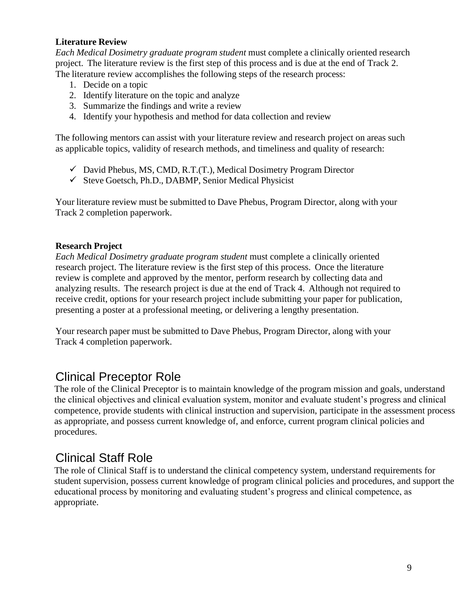#### <span id="page-9-0"></span>**Literature Review**

*Each Medical Dosimetry graduate program student* must complete a clinically oriented research project. The literature review is the first step of this process and is due at the end of Track 2. The literature review accomplishes the following steps of the research process:

- 1. Decide on a topic
- 2. Identify literature on the topic and analyze
- 3. Summarize the findings and write a review
- 4. Identify your hypothesis and method for data collection and review

The following mentors can assist with your literature review and research project on areas such as applicable topics, validity of research methods, and timeliness and quality of research:

- $\checkmark$  David Phebus, MS, CMD, R.T.(T.), Medical Dosimetry Program Director
- $\checkmark$  Steve Goetsch, Ph.D., DABMP, Senior Medical Physicist

Your literature review must be submitted to Dave Phebus, Program Director, along with your Track 2 completion paperwork.

#### <span id="page-9-1"></span>**Research Project**

*Each Medical Dosimetry graduate program student* must complete a clinically oriented research project. The literature review is the first step of this process. Once the literature review is complete and approved by the mentor, perform research by collecting data and analyzing results. The research project is due at the end of Track 4. Although not required to receive credit, options for your research project include submitting your paper for publication, presenting a poster at a professional meeting, or delivering a lengthy presentation.

Your research paper must be submitted to Dave Phebus, Program Director, along with your Track 4 completion paperwork.

## <span id="page-9-2"></span>Clinical Preceptor Role

The role of the Clinical Preceptor is to maintain knowledge of the program mission and goals, understand the clinical objectives and clinical evaluation system, monitor and evaluate student's progress and clinical competence, provide students with clinical instruction and supervision, participate in the assessment process as appropriate, and possess current knowledge of, and enforce, current program clinical policies and procedures.

## <span id="page-9-3"></span>Clinical Staff Role

The role of Clinical Staff is to understand the clinical competency system, understand requirements for student supervision, possess current knowledge of program clinical policies and procedures, and support the educational process by monitoring and evaluating student's progress and clinical competence, as appropriate.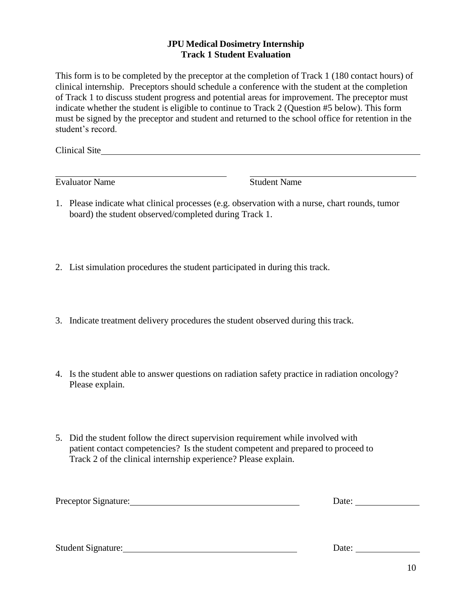#### **JPU Medical Dosimetry Internship Track 1 Student Evaluation**

<span id="page-10-0"></span>This form is to be completed by the preceptor at the completion of Track 1 (180 contact hours) of clinical internship. Preceptors should schedule a conference with the student at the completion of Track 1 to discuss student progress and potential areas for improvement. The preceptor must indicate whether the student is eligible to continue to Track 2 (Question #5 below). This form must be signed by the preceptor and student and returned to the school office for retention in the student's record.

Clinical Site

Evaluator Name Student Name

- 1. Please indicate what clinical processes (e.g. observation with a nurse, chart rounds, tumor board) the student observed/completed during Track 1.
- 2. List simulation procedures the student participated in during this track.
- 3. Indicate treatment delivery procedures the student observed during this track.
- 4. Is the student able to answer questions on radiation safety practice in radiation oncology? Please explain.
- 5. Did the student follow the direct supervision requirement while involved with patient contact competencies? Is the student competent and prepared to proceed to Track 2 of the clinical internship experience? Please explain.

| Preceptor Signature: | Date: |
|----------------------|-------|
|                      |       |
|                      |       |

Student Signature: Date: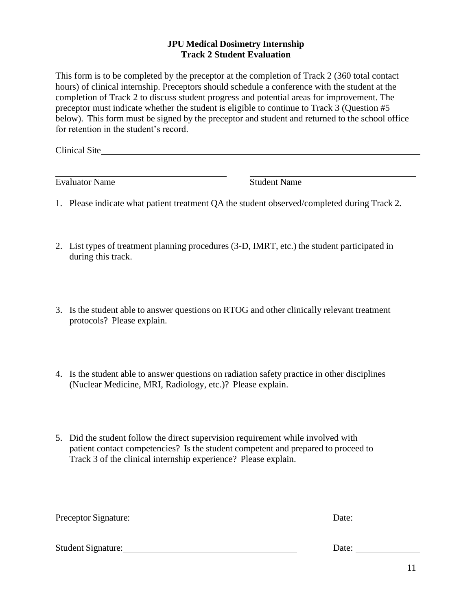#### **JPU Medical Dosimetry Internship Track 2 Student Evaluation**

<span id="page-11-0"></span>This form is to be completed by the preceptor at the completion of Track 2 (360 total contact hours) of clinical internship. Preceptors should schedule a conference with the student at the completion of Track 2 to discuss student progress and potential areas for improvement. The preceptor must indicate whether the student is eligible to continue to Track 3 (Question #5 below). This form must be signed by the preceptor and student and returned to the school office for retention in the student's record.

Clinical Site

Evaluator Name Student Name

- 1. Please indicate what patient treatment QA the student observed/completed during Track 2.
- 2. List types of treatment planning procedures (3-D, IMRT, etc.) the student participated in during this track.
- 3. Is the student able to answer questions on RTOG and other clinically relevant treatment protocols? Please explain.
- 4. Is the student able to answer questions on radiation safety practice in other disciplines (Nuclear Medicine, MRI, Radiology, etc.)? Please explain.
- 5. Did the student follow the direct supervision requirement while involved with patient contact competencies? Is the student competent and prepared to proceed to Track 3 of the clinical internship experience? Please explain.

| Preceptor Signature: | Date: |
|----------------------|-------|
|                      |       |
| Student Signature:   | Date: |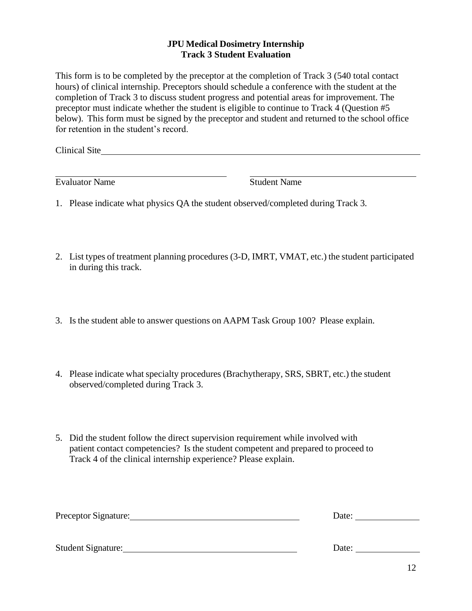#### **JPU Medical Dosimetry Internship Track 3 Student Evaluation**

<span id="page-12-0"></span>This form is to be completed by the preceptor at the completion of Track 3 (540 total contact hours) of clinical internship. Preceptors should schedule a conference with the student at the completion of Track 3 to discuss student progress and potential areas for improvement. The preceptor must indicate whether the student is eligible to continue to Track 4 (Question #5 below). This form must be signed by the preceptor and student and returned to the school office for retention in the student's record.

Clinical Site

Evaluator Name Student Name

- 1. Please indicate what physics QA the student observed/completed during Track 3.
- 2. List types of treatment planning procedures (3-D, IMRT, VMAT, etc.) the student participated in during this track.
- 3. Is the student able to answer questions on AAPM Task Group 100? Please explain.
- 4. Please indicate what specialty procedures (Brachytherapy, SRS, SBRT, etc.) the student observed/completed during Track 3.
- 5. Did the student follow the direct supervision requirement while involved with patient contact competencies? Is the student competent and prepared to proceed to Track 4 of the clinical internship experience? Please explain.

| Preceptor Signature: | Date: |
|----------------------|-------|
|                      |       |
| Student Signature:   | Date: |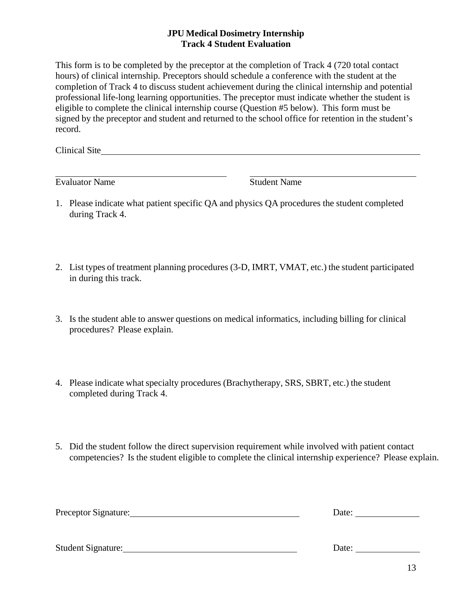#### **JPU Medical Dosimetry Internship Track 4 Student Evaluation**

<span id="page-13-0"></span>This form is to be completed by the preceptor at the completion of Track 4 (720 total contact hours) of clinical internship. Preceptors should schedule a conference with the student at the completion of Track 4 to discuss student achievement during the clinical internship and potential professional life-long learning opportunities. The preceptor must indicate whether the student is eligible to complete the clinical internship course (Question #5 below). This form must be signed by the preceptor and student and returned to the school office for retention in the student's record.

Clinical Site

Evaluator Name Student Name

- 1. Please indicate what patient specific QA and physics QA procedures the student completed during Track 4.
- 2. List types of treatment planning procedures (3-D, IMRT, VMAT, etc.) the student participated in during this track.
- 3. Is the student able to answer questions on medical informatics, including billing for clinical procedures? Please explain.
- 4. Please indicate what specialty procedures (Brachytherapy, SRS, SBRT, etc.) the student completed during Track 4.
- 5. Did the student follow the direct supervision requirement while involved with patient contact competencies? Is the student eligible to complete the clinical internship experience? Please explain.

| Preceptor Signature: | Date: |  |  |
|----------------------|-------|--|--|
|                      |       |  |  |
|                      |       |  |  |

Student Signature: Date: Date: Date: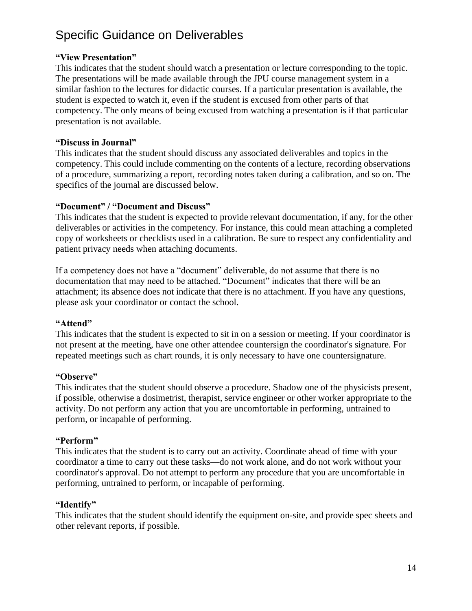## <span id="page-14-0"></span>Specific Guidance on Deliverables

#### **"View Presentation"**

This indicates that the student should watch a presentation or lecture corresponding to the topic. The presentations will be made available through the JPU course management system in a similar fashion to the lectures for didactic courses. If a particular presentation is available, the student is expected to watch it, even if the student is excused from other parts of that competency. The only means of being excused from watching a presentation is if that particular presentation is not available.

#### **"Discuss in Journal"**

This indicates that the student should discuss any associated deliverables and topics in the competency. This could include commenting on the contents of a lecture, recording observations of a procedure, summarizing a report, recording notes taken during a calibration, and so on. The specifics of the journal are discussed below.

#### **"Document" / "Document and Discuss"**

This indicates that the student is expected to provide relevant documentation, if any, for the other deliverables or activities in the competency. For instance, this could mean attaching a completed copy of worksheets or checklists used in a calibration. Be sure to respect any confidentiality and patient privacy needs when attaching documents.

If a competency does not have a "document" deliverable, do not assume that there is no documentation that may need to be attached. "Document" indicates that there will be an attachment; its absence does not indicate that there is no attachment. If you have any questions, please ask your coordinator or contact the school.

#### **"Attend"**

This indicates that the student is expected to sit in on a session or meeting. If your coordinator is not present at the meeting, have one other attendee countersign the coordinator's signature. For repeated meetings such as chart rounds, it is only necessary to have one countersignature.

#### **"Observe"**

This indicates that the student should observe a procedure. Shadow one of the physicists present, if possible, otherwise a dosimetrist, therapist, service engineer or other worker appropriate to the activity. Do not perform any action that you are uncomfortable in performing, untrained to perform, or incapable of performing.

#### **"Perform"**

This indicates that the student is to carry out an activity. Coordinate ahead of time with your coordinator a time to carry out these tasks—do not work alone, and do not work without your coordinator's approval. Do not attempt to perform any procedure that you are uncomfortable in performing, untrained to perform, or incapable of performing.

#### **"Identify"**

This indicates that the student should identify the equipment on-site, and provide spec sheets and other relevant reports, if possible.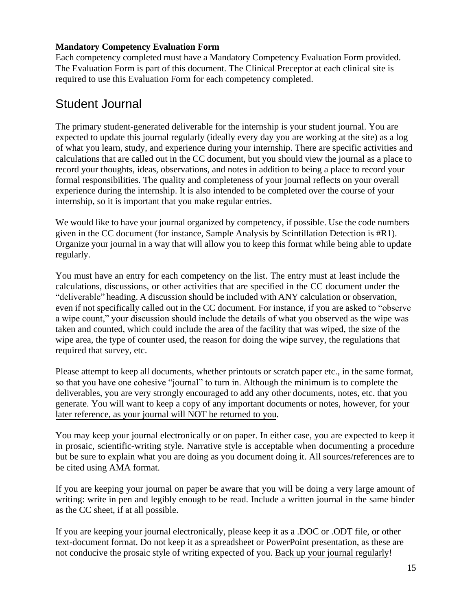#### <span id="page-15-0"></span>**Mandatory Competency Evaluation Form**

Each competency completed must have a Mandatory Competency Evaluation Form provided. The Evaluation Form is part of this document. The Clinical Preceptor at each clinical site is required to use this Evaluation Form for each competency completed.

## <span id="page-15-1"></span>Student Journal

The primary student-generated deliverable for the internship is your student journal. You are expected to update this journal regularly (ideally every day you are working at the site) as a log of what you learn, study, and experience during your internship. There are specific activities and calculations that are called out in the CC document, but you should view the journal as a place to record your thoughts, ideas, observations, and notes in addition to being a place to record your formal responsibilities. The quality and completeness of your journal reflects on your overall experience during the internship. It is also intended to be completed over the course of your internship, so it is important that you make regular entries.

We would like to have your journal organized by competency, if possible. Use the code numbers given in the CC document (for instance, Sample Analysis by Scintillation Detection is #R1). Organize your journal in a way that will allow you to keep this format while being able to update regularly.

You must have an entry for each competency on the list. The entry must at least include the calculations, discussions, or other activities that are specified in the CC document under the "deliverable" heading. A discussion should be included with ANY calculation or observation, even if not specifically called out in the CC document. For instance, if you are asked to "observe a wipe count," your discussion should include the details of what you observed as the wipe was taken and counted, which could include the area of the facility that was wiped, the size of the wipe area, the type of counter used, the reason for doing the wipe survey, the regulations that required that survey, etc.

Please attempt to keep all documents, whether printouts or scratch paper etc., in the same format, so that you have one cohesive "journal" to turn in. Although the minimum is to complete the deliverables, you are very strongly encouraged to add any other documents, notes, etc. that you generate. You will want to keep a copy of any important documents or notes, however, for your later reference, as your journal will NOT be returned to you.

You may keep your journal electronically or on paper. In either case, you are expected to keep it in prosaic, scientific-writing style. Narrative style is acceptable when documenting a procedure but be sure to explain what you are doing as you document doing it. All sources/references are to be cited using AMA format.

If you are keeping your journal on paper be aware that you will be doing a very large amount of writing: write in pen and legibly enough to be read. Include a written journal in the same binder as the CC sheet, if at all possible.

If you are keeping your journal electronically, please keep it as a .DOC or .ODT file, or other text-document format. Do not keep it as a spreadsheet or PowerPoint presentation, as these are not conducive the prosaic style of writing expected of you. Back up your journal regularly!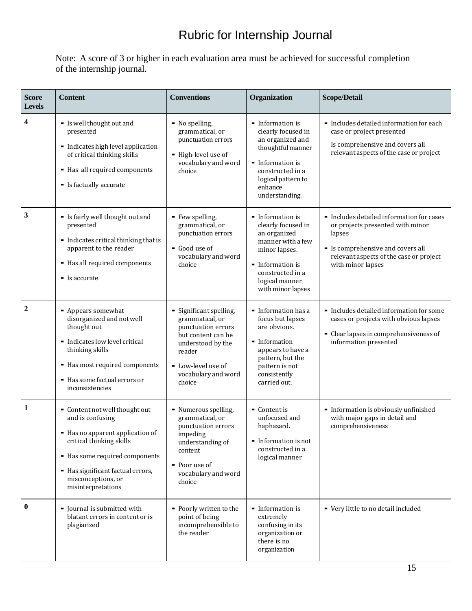## Rubric for Internship Journal

<span id="page-16-0"></span>Note: A score of 3 or higher in each evaluation area must be achieved for successful completion of the internship journal.

| <b>Score</b><br><b>Levels</b> | <b>Content</b>                                                                                                                                                                                                                        | <b>Conventions</b>                                                                                                                                                           | Organization                                                                                                                                                                             | <b>Scope/Detail</b>                                                                                                                                                                          |
|-------------------------------|---------------------------------------------------------------------------------------------------------------------------------------------------------------------------------------------------------------------------------------|------------------------------------------------------------------------------------------------------------------------------------------------------------------------------|------------------------------------------------------------------------------------------------------------------------------------------------------------------------------------------|----------------------------------------------------------------------------------------------------------------------------------------------------------------------------------------------|
| 4                             | - Is well thought out and<br>presented<br>- Indicates high level application<br>of critical thinking skills<br>- Has all required components<br>- Is factually accurate                                                               | - No spelling,<br>grammatical, or<br>punctuation errors<br>- High-level use of<br>vocabulary and word<br>choice                                                              | • Information is<br>clearly focused in<br>an organized and<br>thoughtful manner<br>- Information is<br>constructed in a<br>logical pattern to<br>enhance<br>understanding.               | - Includes detailed information for each<br>case or project presented<br>Is comprehensive and covers all<br>relevant aspects of the case or project                                          |
| 3                             | - Is fairly well thought out and<br>presented<br>- Indicates critical thinking that is<br>apparent to the reader<br>- Has all required components<br>- Is accurate                                                                    | - Few spelling,<br>grammatical, or<br>punctuation errors<br>Good use of<br>vocabulary and word<br>choice                                                                     | - Information is<br>clearly focused in<br>an organized<br>manner with a few<br>minor lapses.<br>$\blacksquare$ Information is<br>constructed in a<br>logical manner<br>with minor lapses | • Includes detailed information for cases<br>or projects presented with minor<br>lapses<br>- Is comprehensive and covers all<br>relevant aspects of the case or project<br>with minor lapses |
| $\overline{2}$                | - Appears somewhat<br>disorganized and not well<br>thought out<br>- Indicates low level critical<br>thinking skills<br>- Has most required components<br>- Has some factual errors or<br>inconsistencies                              | - Significant spelling,<br>grammatical, or<br>punctuation errors<br>but content can be<br>understood by the<br>reader<br>- Low-level use of<br>vocabulary and word<br>choice | - Information has a<br>focus but lapses<br>are obvious.<br>- Information<br>appears to have a<br>pattern, but the<br>pattern is not<br>consistently<br>carried out.                      | - Includes detailed information for some<br>cases or projects with obvious lapses<br>- Clear lapses in comprehensiveness of<br>information presented                                         |
| 1                             | - Content not well thought out<br>and is confusing<br>- Has no apparent application of<br>critical thinking skills<br>- Has some required components<br>- Has significant factual errors,<br>misconceptions, or<br>misinterpretations | - Numerous spelling,<br>grammatical, or<br>punctuation errors<br>impeding<br>understanding of<br>content<br>- Poor use of<br>vocabulary and word<br>choice                   | - Content is<br>unfocused and<br>haphazard.<br>- Information is not<br>constructed in a<br>logical manner                                                                                | - Information is obviously unfinished<br>with major gaps in detail and<br>comprehensiveness                                                                                                  |
| $\bf{0}$                      | • Journal is submitted with<br>blatant errors in content or is<br>plagiarized                                                                                                                                                         | - Poorly written to the<br>point of being<br>incomprehensible to<br>the reader                                                                                               | - Information is<br>extremely<br>confusing in its<br>organization or<br>there is no<br>organization                                                                                      | - Very little to no detail included                                                                                                                                                          |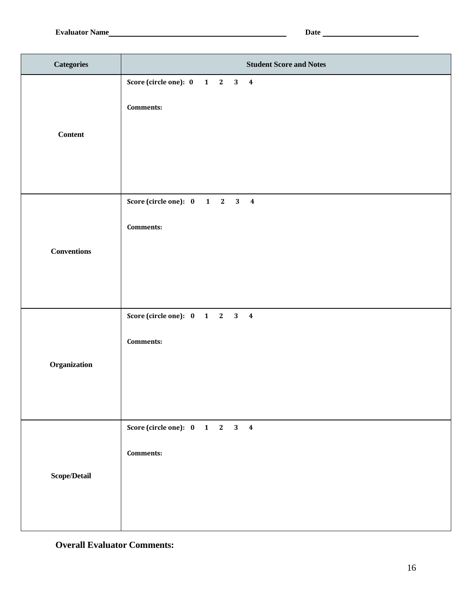| <b>Categories</b>  | <b>Student Score and Notes</b>                    |
|--------------------|---------------------------------------------------|
| <b>Content</b>     | Score (circle one): 0 1 2 3 4<br><b>Comments:</b> |
| <b>Conventions</b> | Score (circle one): 0 1 2 3 4<br><b>Comments:</b> |
| Organization       | Score (circle one): 0 1 2 3 4<br><b>Comments:</b> |
| Scope/Detail       | Score (circle one): 0 1 2 3 4<br><b>Comments:</b> |

#### **Overall Evaluator Comments:**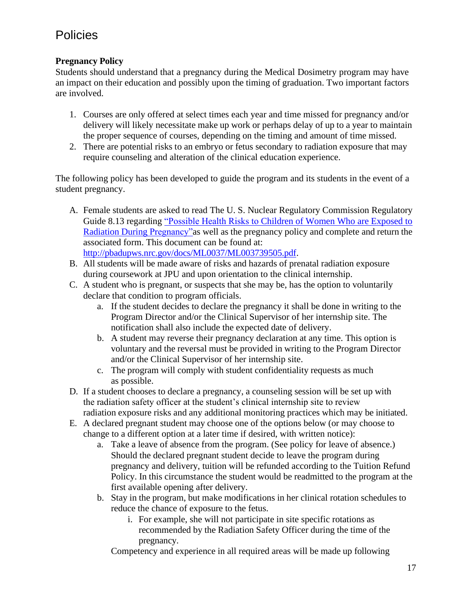## <span id="page-18-0"></span>**Policies**

#### <span id="page-18-1"></span>**Pregnancy Policy**

Students should understand that a pregnancy during the Medical Dosimetry program may have an impact on their education and possibly upon the timing of graduation. Two important factors are involved.

- 1. Courses are only offered at select times each year and time missed for pregnancy and/or delivery will likely necessitate make up work or perhaps delay of up to a year to maintain the proper sequence of courses, depending on the timing and amount of time missed.
- 2. There are potential risks to an embryo or fetus secondary to radiation exposure that may require counseling and alteration of the clinical education experience.

The following policy has been developed to guide the program and its students in the event of a student pregnancy.

- A. Female students are asked to read The U. S. Nuclear Regulatory Commission Regulatory Guide 8.13 regarding "Possible Health Risks to Children of [Women Who are Exposed to](http://pbadupws.nrc.gov/docs/ML0037/ML003739505.pdf) Radiation During [Pregnancy"a](http://pbadupws.nrc.gov/docs/ML0037/ML003739505.pdf)s well as the pregnancy policy and complete and return the associated form. This document can be found at: [http://pbadupws.nrc.gov/docs/ML0037/ML003739505.pdf.](http://pbadupws.nrc.gov/docs/ML0037/ML003739505.pdf)
- B. All students will be made aware of risks and hazards of prenatal radiation exposure during coursework at JPU and upon orientation to the clinical internship.
- C. A student who is pregnant, or suspects that she may be, has the option to voluntarily declare that condition to program officials.
	- a. If the student decides to declare the pregnancy it shall be done in writing to the Program Director and/or the Clinical Supervisor of her internship site. The notification shall also include the expected date of delivery.
	- b. A student may reverse their pregnancy declaration at any time. This option is voluntary and the reversal must be provided in writing to the Program Director and/or the Clinical Supervisor of her internship site.
	- c. The program will comply with student confidentiality requests as much as possible.
- D. If a student chooses to declare a pregnancy, a counseling session will be set up with the radiation safety officer at the student's clinical internship site to review radiation exposure risks and any additional monitoring practices which may be initiated.
- E. A declared pregnant student may choose one of the options below (or may choose to change to a different option at a later time if desired, with written notice):
	- a. Take a leave of absence from the program. (See policy for leave of absence.) Should the declared pregnant student decide to leave the program during pregnancy and delivery, tuition will be refunded according to the Tuition Refund Policy. In this circumstance the student would be readmitted to the program at the first available opening after delivery.
	- b. Stay in the program, but make modifications in her clinical rotation schedules to reduce the chance of exposure to the fetus.
		- i. For example, she will not participate in site specific rotations as recommended by the Radiation Safety Officer during the time of the pregnancy.

Competency and experience in all required areas will be made up following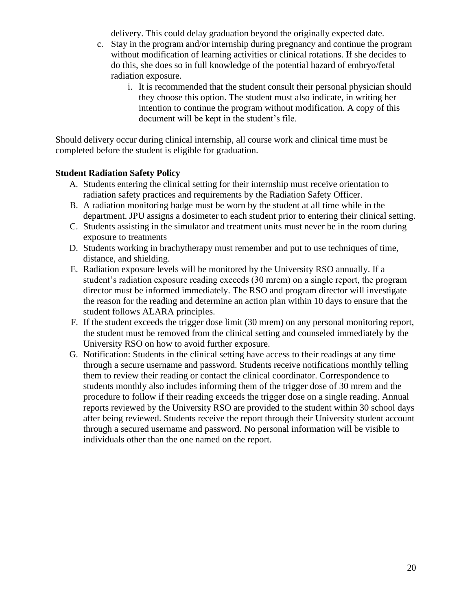delivery. This could delay graduation beyond the originally expected date.

- c. Stay in the program and/or internship during pregnancy and continue the program without modification of learning activities or clinical rotations. If she decides to do this, she does so in full knowledge of the potential hazard of embryo/fetal radiation exposure.
	- i. It is recommended that the student consult their personal physician should they choose this option. The student must also indicate, in writing her intention to continue the program without modification. A copy of this document will be kept in the student's file.

Should delivery occur during clinical internship, all course work and clinical time must be completed before the student is eligible for graduation.

#### <span id="page-19-0"></span>**Student Radiation Safety Policy**

- A. Students entering the clinical setting for their internship must receive orientation to radiation safety practices and requirements by the Radiation Safety Officer.
- B. A radiation monitoring badge must be worn by the student at all time while in the department. JPU assigns a dosimeter to each student prior to entering their clinical setting.
- C. Students assisting in the simulator and treatment units must never be in the room during exposure to treatments
- D. Students working in brachytherapy must remember and put to use techniques of time, distance, and shielding.
- E. Radiation exposure levels will be monitored by the University RSO annually. If a student's radiation exposure reading exceeds (30 mrem) on a single report, the program director must be informed immediately. The RSO and program director will investigate the reason for the reading and determine an action plan within 10 days to ensure that the student follows ALARA principles.
- F. If the student exceeds the trigger dose limit (30 mrem) on any personal monitoring report, the student must be removed from the clinical setting and counseled immediately by the University RSO on how to avoid further exposure.
- G. Notification: Students in the clinical setting have access to their readings at any time through a secure username and password. Students receive notifications monthly telling them to review their reading or contact the clinical coordinator. Correspondence to students monthly also includes informing them of the trigger dose of 30 mrem and the procedure to follow if their reading exceeds the trigger dose on a single reading. Annual reports reviewed by the University RSO are provided to the student within 30 school days after being reviewed. Students receive the report through their University student account through a secured username and password. No personal information will be visible to individuals other than the one named on the report.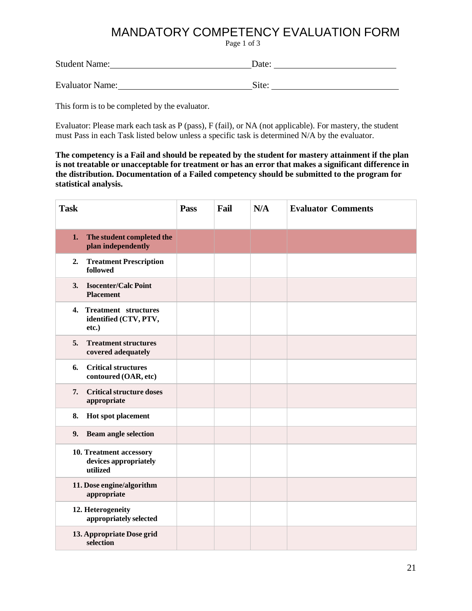## MANDATORY COMPETENCY EVALUATION FORM

Page 1 of 3

<span id="page-20-0"></span>Student Name: Date:

Evaluator Name: Site:

This form is to be completed by the evaluator.

Evaluator: Please mark each task as P (pass), F (fail), or NA (not applicable). For mastery, the student must Pass in each Task listed below unless a specific task is determined N/A by the evaluator.

**The competency is a Fail and should be repeated by the student for mastery attainment if the plan is not treatable or unacceptable for treatment or has an error that makes a significant difference in the distribution. Documentation of a Failed competency should be submitted to the program for statistical analysis.**

| <b>Task</b> |                                                              | Pass | Fail | N/A | <b>Evaluator Comments</b> |
|-------------|--------------------------------------------------------------|------|------|-----|---------------------------|
| 1.          | The student completed the<br>plan independently              |      |      |     |                           |
| 2.          | <b>Treatment Prescription</b><br>followed                    |      |      |     |                           |
| 3.          | <b>Isocenter/Calc Point</b><br><b>Placement</b>              |      |      |     |                           |
|             | 4. Treatment structures<br>identified (CTV, PTV,<br>etc.)    |      |      |     |                           |
| 5.          | <b>Treatment structures</b><br>covered adequately            |      |      |     |                           |
| 6.          | <b>Critical structures</b><br>contoured (OAR, etc)           |      |      |     |                           |
| 7.          | <b>Critical structure doses</b><br>appropriate               |      |      |     |                           |
| 8.          | Hot spot placement                                           |      |      |     |                           |
| 9.          | <b>Beam angle selection</b>                                  |      |      |     |                           |
|             | 10. Treatment accessory<br>devices appropriately<br>utilized |      |      |     |                           |
|             | 11. Dose engine/algorithm<br>appropriate                     |      |      |     |                           |
|             | 12. Heterogeneity<br>appropriately selected                  |      |      |     |                           |
|             | 13. Appropriate Dose grid<br>selection                       |      |      |     |                           |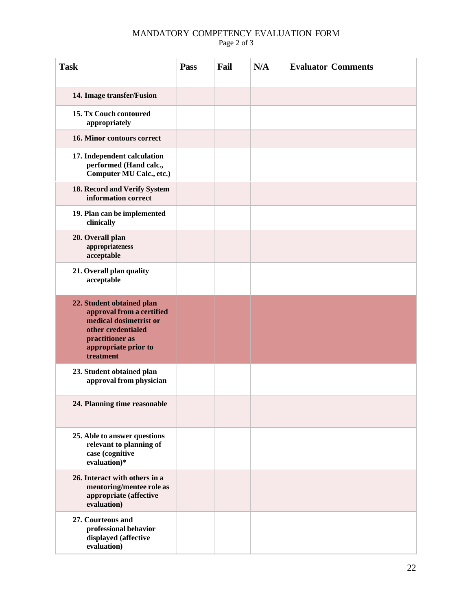#### **Task Pass Fail N/A Evaluator Comments 14. Image transfer/Fusion 15. Tx Couch contoured appropriately 16. Minor contours correct 17. Independent calculation performed (Hand calc., Computer MU Calc., etc.) 18. Record and Verify System information correct 19. Plan can be implemented clinically 20. Overall plan appropriateness acceptable 21. Overall plan quality acceptable 22. Student obtained plan approval from a certified medical dosimetrist or other credentialed practitioner as appropriate prior to treatment 23. Student obtained plan approval from physician 24. Planning time reasonable 25. Able to answer questions relevant to planning of case (cognitive evaluation)\* 26. Interact with others in a mentoring/mentee role as appropriate (affective evaluation) 27. Courteous and professional behavior displayed (affective evaluation)**

#### MANDATORY COMPETENCY EVALUATION FORM Page 2 of 3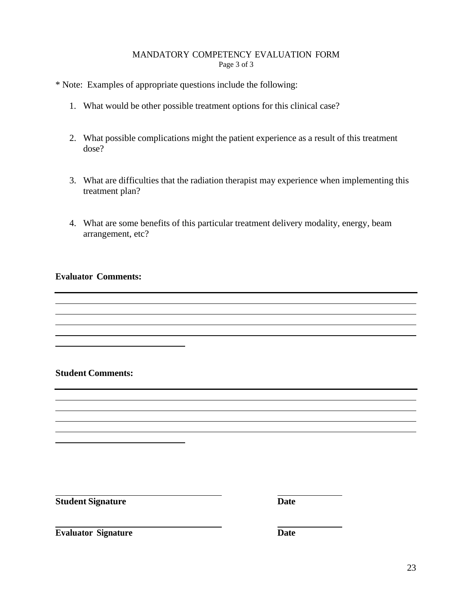#### MANDATORY COMPETENCY EVALUATION FORM Page 3 of 3

\* Note: Examples of appropriate questions include the following:

- 1. What would be other possible treatment options for this clinical case?
- 2. What possible complications might the patient experience as a result of this treatment dose?
- 3. What are difficulties that the radiation therapist may experience when implementing this treatment plan?
- 4. What are some benefits of this particular treatment delivery modality, energy, beam arrangement, etc?

#### **Evaluator Comments:**

#### **Student Comments:**

<u> 1980 - Johann Barbara, martxa alemaniar a</u>

**Student Signature Date**

**Evaluator Signature Date** 

<u> 1989 - Johann Barn, fransk politik (</u>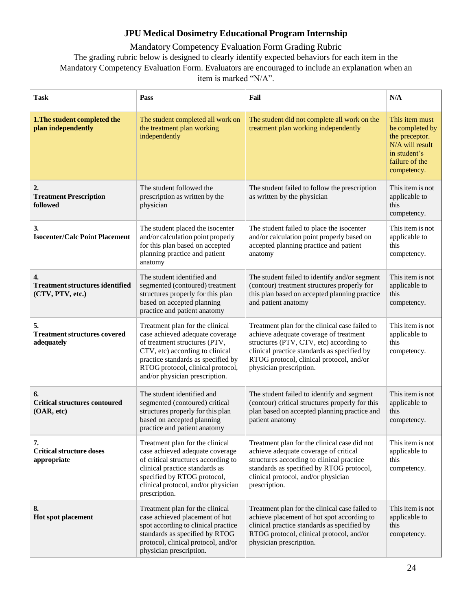#### **JPU Medical Dosimetry Educational Program Internship**

<span id="page-23-0"></span>Mandatory Competency Evaluation Form Grading Rubric The grading rubric below is designed to clearly identify expected behaviors for each item in the Mandatory Competency Evaluation Form. Evaluators are encouraged to include an explanation when an item is marked "N/A".

| <b>Task</b>                                                      | Pass                                                                                                                                                                                                                                                | Fail                                                                                                                                                                                                                                                      | N/A                                                                                                                     |
|------------------------------------------------------------------|-----------------------------------------------------------------------------------------------------------------------------------------------------------------------------------------------------------------------------------------------------|-----------------------------------------------------------------------------------------------------------------------------------------------------------------------------------------------------------------------------------------------------------|-------------------------------------------------------------------------------------------------------------------------|
| 1. The student completed the<br>plan independently               | The student completed all work on<br>the treatment plan working<br>independently                                                                                                                                                                    | The student did not complete all work on the<br>treatment plan working independently                                                                                                                                                                      | This item must<br>be completed by<br>the preceptor.<br>N/A will result<br>in student's<br>failure of the<br>competency. |
| $\overline{2}$<br><b>Treatment Prescription</b><br>followed      | The student followed the<br>prescription as written by the<br>physician                                                                                                                                                                             | The student failed to follow the prescription<br>as written by the physician                                                                                                                                                                              | This item is not<br>applicable to<br>this<br>competency.                                                                |
| 3.<br><b>Isocenter/Calc Point Placement</b>                      | The student placed the isocenter<br>and/or calculation point properly<br>for this plan based on accepted<br>planning practice and patient<br>anatomy                                                                                                | The student failed to place the isocenter<br>and/or calculation point properly based on<br>accepted planning practice and patient<br>anatomy                                                                                                              | This item is not<br>applicable to<br>this<br>competency.                                                                |
| 4.<br><b>Treatment structures identified</b><br>(CTV, PTV, etc.) | The student identified and<br>segmented (contoured) treatment<br>structures properly for this plan<br>based on accepted planning<br>practice and patient anatomy                                                                                    | The student failed to identify and/or segment<br>(contour) treatment structures properly for<br>this plan based on accepted planning practice<br>and patient anatomy                                                                                      | This item is not<br>applicable to<br>this<br>competency.                                                                |
| 5.<br><b>Treatment structures covered</b><br>adequately          | Treatment plan for the clinical<br>case achieved adequate coverage<br>of treatment structures (PTV,<br>CTV, etc) according to clinical<br>practice standards as specified by<br>RTOG protocol, clinical protocol,<br>and/or physician prescription. | Treatment plan for the clinical case failed to<br>achieve adequate coverage of treatment<br>structures (PTV, CTV, etc) according to<br>clinical practice standards as specified by<br>RTOG protocol, clinical protocol, and/or<br>physician prescription. | This item is not<br>applicable to<br>this<br>competency.                                                                |
| 6.<br><b>Critical structures contoured</b><br>(OAR, etc)         | The student identified and<br>segmented (contoured) critical<br>structures properly for this plan<br>based on accepted planning<br>practice and patient anatomy                                                                                     | The student failed to identify and segment<br>(contour) critical structures properly for this<br>plan based on accepted planning practice and<br>patient anatomy                                                                                          | This item is not<br>applicable to<br>this<br>competency.                                                                |
| 7.<br><b>Critical structure doses</b><br>appropriate             | Treatment plan for the clinical<br>case achieved adequate coverage<br>of critical structures according to<br>clinical practice standards as<br>specified by RTOG protocol,<br>clinical protocol, and/or physician<br>prescription.                  | Treatment plan for the clinical case did not<br>achieve adequate coverage of critical<br>structures according to clinical practice<br>standards as specified by RTOG protocol,<br>clinical protocol, and/or physician<br>prescription.                    | This item is not<br>applicable to<br>this<br>competency.                                                                |
| 8.<br>Hot spot placement                                         | Treatment plan for the clinical<br>case achieved placement of hot<br>spot according to clinical practice<br>standards as specified by RTOG<br>protocol, clinical protocol, and/or<br>physician prescription.                                        | Treatment plan for the clinical case failed to<br>achieve placement of hot spot according to<br>clinical practice standards as specified by<br>RTOG protocol, clinical protocol, and/or<br>physician prescription.                                        | This item is not<br>applicable to<br>this<br>competency.                                                                |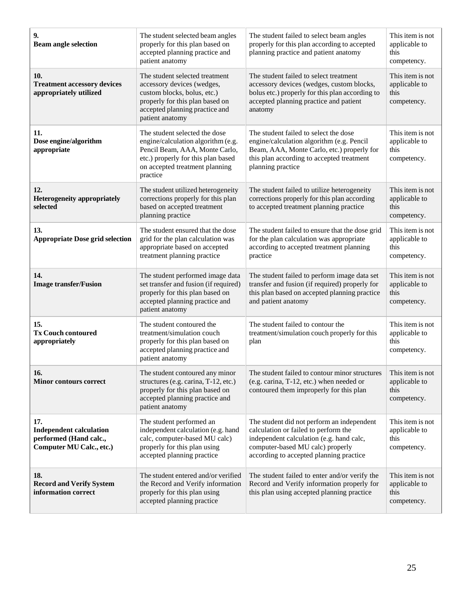| 9.<br><b>Beam angle selection</b>                                                           | The student selected beam angles<br>properly for this plan based on<br>accepted planning practice and<br>patient anatomy                                                                  | The student failed to select beam angles<br>properly for this plan according to accepted<br>planning practice and patient anatomy                                                                             | This item is not<br>applicable to<br>this<br>competency. |
|---------------------------------------------------------------------------------------------|-------------------------------------------------------------------------------------------------------------------------------------------------------------------------------------------|---------------------------------------------------------------------------------------------------------------------------------------------------------------------------------------------------------------|----------------------------------------------------------|
| 10.<br><b>Treatment accessory devices</b><br>appropriately utilized                         | The student selected treatment<br>accessory devices (wedges,<br>custom blocks, bolus, etc.)<br>properly for this plan based on<br>accepted planning practice and<br>patient anatomy       | The student failed to select treatment<br>accessory devices (wedges, custom blocks,<br>bolus etc.) properly for this plan according to<br>accepted planning practice and patient<br>anatomy                   | This item is not<br>applicable to<br>this<br>competency. |
| 11.<br>Dose engine/algorithm<br>appropriate                                                 | The student selected the dose<br>engine/calculation algorithm (e.g.<br>Pencil Beam, AAA, Monte Carlo,<br>etc.) properly for this plan based<br>on accepted treatment planning<br>practice | The student failed to select the dose<br>engine/calculation algorithm (e.g. Pencil<br>Beam, AAA, Monte Carlo, etc.) properly for<br>this plan according to accepted treatment<br>planning practice            | This item is not<br>applicable to<br>this<br>competency. |
| 12.<br><b>Heterogeneity appropriately</b><br>selected                                       | The student utilized heterogeneity<br>corrections properly for this plan<br>based on accepted treatment<br>planning practice                                                              | The student failed to utilize heterogeneity<br>corrections properly for this plan according<br>to accepted treatment planning practice                                                                        | This item is not<br>applicable to<br>this<br>competency. |
| 13.<br><b>Appropriate Dose grid selection</b>                                               | The student ensured that the dose<br>grid for the plan calculation was<br>appropriate based on accepted<br>treatment planning practice                                                    | The student failed to ensure that the dose grid<br>for the plan calculation was appropriate<br>according to accepted treatment planning<br>practice                                                           | This item is not<br>applicable to<br>this<br>competency. |
| 14.<br><b>Image transfer/Fusion</b>                                                         | The student performed image data<br>set transfer and fusion (if required)<br>properly for this plan based on<br>accepted planning practice and<br>patient anatomy                         | The student failed to perform image data set<br>transfer and fusion (if required) properly for<br>this plan based on accepted planning practice<br>and patient anatomy                                        | This item is not<br>applicable to<br>this<br>competency. |
| 15.<br><b>Tx Couch contoured</b><br>appropriately                                           | The student contoured the<br>treatment/simulation couch<br>properly for this plan based on<br>accepted planning practice and<br>patient anatomy                                           | The student failed to contour the<br>treatment/simulation couch properly for this<br>plan                                                                                                                     | This item is not<br>applicable to<br>this<br>competency. |
| 16.<br><b>Minor contours correct</b>                                                        | The student contoured any minor<br>structures (e.g. carina, T-12, etc.)<br>properly for this plan based on<br>accepted planning practice and<br>patient anatomy                           | The student failed to contour minor structures This item is not<br>(e.g. carina, T-12, etc.) when needed or<br>contoured them improperly for this plan                                                        | applicable to<br>this<br>competency.                     |
| 17.<br><b>Independent calculation</b><br>performed (Hand calc.,<br>Computer MU Calc., etc.) | The student performed an<br>independent calculation (e.g. hand<br>calc, computer-based MU calc)<br>properly for this plan using<br>accepted planning practice                             | The student did not perform an independent<br>calculation or failed to perform the<br>independent calculation (e.g. hand calc,<br>computer-based MU calc) properly<br>according to accepted planning practice | This item is not<br>applicable to<br>this<br>competency. |
| 18.<br><b>Record and Verify System</b><br>information correct                               | The student entered and/or verified<br>the Record and Verify information<br>properly for this plan using<br>accepted planning practice                                                    | The student failed to enter and/or verify the<br>Record and Verify information properly for<br>this plan using accepted planning practice                                                                     | This item is not<br>applicable to<br>this<br>competency. |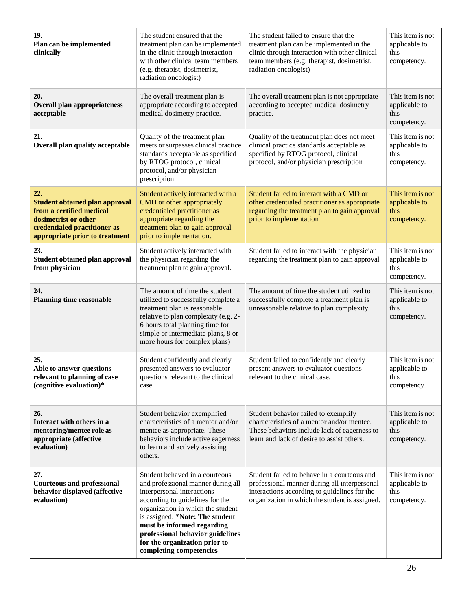| 19.<br>Plan can be implemented<br>clinically                                                                                                                       | The student ensured that the<br>treatment plan can be implemented<br>in the clinic through interaction<br>with other clinical team members<br>(e.g. therapist, dosimetrist,<br>radiation oncologist)                                                                                                                                        | The student failed to ensure that the<br>treatment plan can be implemented in the<br>clinic through interaction with other clinical<br>team members (e.g. therapist, dosimetrist,<br>radiation oncologist) | This item is not<br>applicable to<br>this<br>competency. |
|--------------------------------------------------------------------------------------------------------------------------------------------------------------------|---------------------------------------------------------------------------------------------------------------------------------------------------------------------------------------------------------------------------------------------------------------------------------------------------------------------------------------------|------------------------------------------------------------------------------------------------------------------------------------------------------------------------------------------------------------|----------------------------------------------------------|
| 20.<br><b>Overall plan appropriateness</b><br>acceptable                                                                                                           | The overall treatment plan is<br>appropriate according to accepted<br>medical dosimetry practice.                                                                                                                                                                                                                                           | The overall treatment plan is not appropriate<br>according to accepted medical dosimetry<br>practice.                                                                                                      | This item is not<br>applicable to<br>this<br>competency. |
| 21.<br><b>Overall plan quality acceptable</b>                                                                                                                      | Quality of the treatment plan<br>meets or surpasses clinical practice<br>standards acceptable as specified<br>by RTOG protocol, clinical<br>protocol, and/or physician<br>prescription                                                                                                                                                      | Quality of the treatment plan does not meet<br>clinical practice standards acceptable as<br>specified by RTOG protocol, clinical<br>protocol, and/or physician prescription                                | This item is not<br>applicable to<br>this<br>competency. |
| 22.<br><b>Student obtained plan approval</b><br>from a certified medical<br>dosimetrist or other<br>credentialed practitioner as<br>appropriate prior to treatment | Student actively interacted with a<br>CMD or other appropriately<br>credentialed practitioner as<br>appropriate regarding the<br>treatment plan to gain approval<br>prior to implementation.                                                                                                                                                | Student failed to interact with a CMD or<br>other credentialed practitioner as appropriate<br>regarding the treatment plan to gain approval<br>prior to implementation                                     | This item is not<br>applicable to<br>this<br>competency. |
| 23.<br><b>Student obtained plan approval</b><br>from physician                                                                                                     | Student actively interacted with<br>the physician regarding the<br>treatment plan to gain approval.                                                                                                                                                                                                                                         | Student failed to interact with the physician<br>regarding the treatment plan to gain approval                                                                                                             | This item is not<br>applicable to<br>this<br>competency. |
| 24.<br><b>Planning time reasonable</b>                                                                                                                             | The amount of time the student<br>utilized to successfully complete a<br>treatment plan is reasonable<br>relative to plan complexity (e.g. 2-<br>6 hours total planning time for<br>simple or intermediate plans, 8 or<br>more hours for complex plans)                                                                                     | The amount of time the student utilized to<br>successfully complete a treatment plan is<br>unreasonable relative to plan complexity                                                                        | This item is not<br>applicable to<br>this<br>competency. |
| 25.<br>Able to answer questions<br>relevant to planning of case<br>(cognitive evaluation)*                                                                         | Student confidently and clearly<br>presented answers to evaluator<br>questions relevant to the clinical<br>case.                                                                                                                                                                                                                            | Student failed to confidently and clearly<br>present answers to evaluator questions<br>relevant to the clinical case.                                                                                      | This item is not<br>applicable to<br>this<br>competency. |
| 26.<br>Interact with others in a<br>mentoring/mentee role as<br>appropriate (affective<br>evaluation)                                                              | Student behavior exemplified<br>characteristics of a mentor and/or<br>mentee as appropriate. These<br>behaviors include active eagerness<br>to learn and actively assisting<br>others.                                                                                                                                                      | Student behavior failed to exemplify<br>characteristics of a mentor and/or mentee.<br>These behaviors include lack of eagerness to<br>learn and lack of desire to assist others.                           | This item is not<br>applicable to<br>this<br>competency. |
| 27.<br><b>Courteous and professional</b><br>behavior displayed (affective<br>evaluation)                                                                           | Student behaved in a courteous<br>and professional manner during all<br>interpersonal interactions<br>according to guidelines for the<br>organization in which the student<br>is assigned. *Note: The student<br>must be informed regarding<br>professional behavior guidelines<br>for the organization prior to<br>completing competencies | Student failed to behave in a courteous and<br>professional manner during all interpersonal<br>interactions according to guidelines for the<br>organization in which the student is assigned.              | This item is not<br>applicable to<br>this<br>competency. |